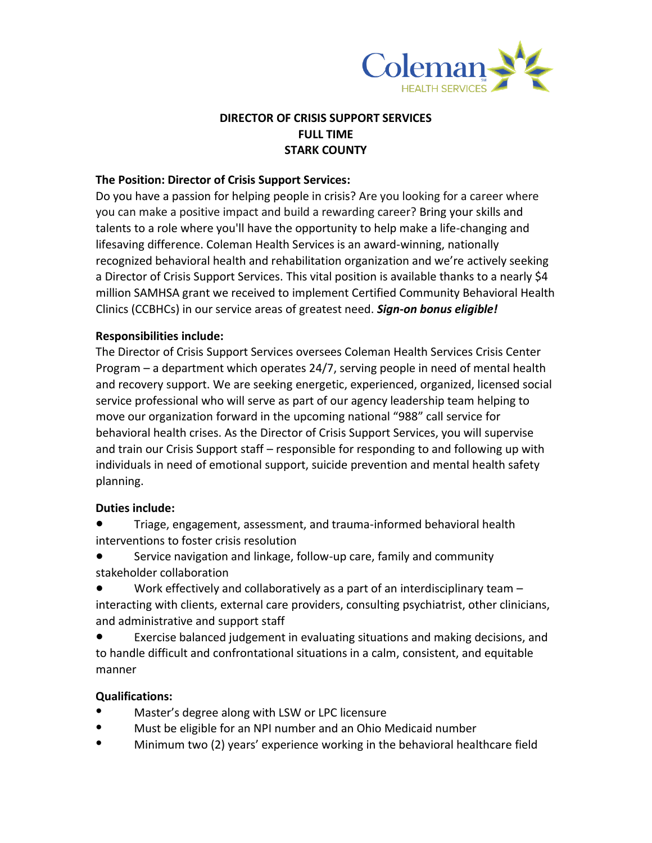

# **DIRECTOR OF CRISIS SUPPORT SERVICES FULL TIME STARK COUNTY**

#### **The Position: Director of Crisis Support Services:**

Do you have a passion for helping people in crisis? Are you looking for a career where you can make a positive impact and build a rewarding career? Bring your skills and talents to a role where you'll have the opportunity to help make a life-changing and lifesaving difference. Coleman Health Services is an award-winning, nationally recognized behavioral health and rehabilitation organization and we're actively seeking a Director of Crisis Support Services. This vital position is available thanks to a nearly \$4 million SAMHSA grant we received to implement Certified Community Behavioral Health Clinics (CCBHCs) in our service areas of greatest need. *Sign-on bonus eligible!*

#### **Responsibilities include:**

The Director of Crisis Support Services oversees Coleman Health Services Crisis Center Program – a department which operates 24/7, serving people in need of mental health and recovery support. We are seeking energetic, experienced, organized, licensed social service professional who will serve as part of our agency leadership team helping to move our organization forward in the upcoming national "988" call service for behavioral health crises. As the Director of Crisis Support Services, you will supervise and train our Crisis Support staff – responsible for responding to and following up with individuals in need of emotional support, suicide prevention and mental health safety planning.

#### **Duties include:**

● Triage, engagement, assessment, and trauma-informed behavioral health interventions to foster crisis resolution

Service navigation and linkage, follow-up care, family and community stakeholder collaboration

Work effectively and collaboratively as a part of an interdisciplinary team  $$ interacting with clients, external care providers, consulting psychiatrist, other clinicians, and administrative and support staff

● Exercise balanced judgement in evaluating situations and making decisions, and to handle difficult and confrontational situations in a calm, consistent, and equitable manner

# **Qualifications:**

- Master's degree along with LSW or LPC licensure
- Must be eligible for an NPI number and an Ohio Medicaid number
- Minimum two (2) years' experience working in the behavioral healthcare field